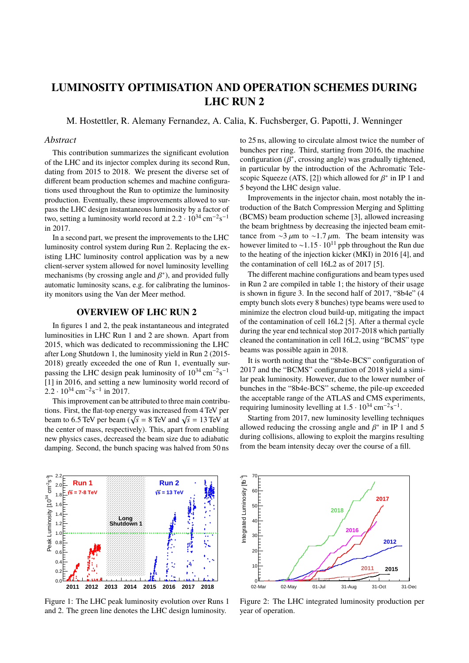# **LUMINOSITY OPTIMISATION AND OPERATION SCHEMES DURING LHC RUN 2**

M. Hostettler, R. Alemany Fernandez, A. Calia, K. Fuchsberger, G. Papotti, J. Wenninger

### *Abstract*

This contribution summarizes the significant evolution of the LHC and its injector complex during its second Run, dating from 2015 to 2018. We present the diverse set of different beam production schemes and machine configurations used throughout the Run to optimize the luminosity production. Eventually, these improvements allowed to surpass the LHC design instantaneous luminosity by a factor of two, setting a luminosity world record at  $2.2 \cdot 10^{34} \text{ cm}^{-2} \text{s}^{-1}$ <br>in 2017 in 2017.

In a second part, we present the improvements to the LHC luminosity control system during Run 2. Replacing the existing LHC luminosity control application was by a new client-server system allowed for novel luminosity levelling mechanisms (by crossing angle and  $\beta^*$ ), and provided fully automatic luminosity scans e g for calibrating the luminosity automatic luminosity scans, e.g. for calibrating the luminosity monitors using the Van der Meer method.

## **OVERVIEW OF LHC RUN 2**

In figures 1 and 2, the peak instantaneous and integrated luminosities in LHC Run 1 and 2 are shown. Apart from 2015, which was dedicated to recommissioning the LHC after Long Shutdown 1, the luminosity yield in Run 2 (2015- 2018) greatly exceeded the one of Run 1, eventually surpassing the LHC design peak luminosity of  $10^{34} \text{ cm}^{-2} \text{s}^{-1}$ [1] in 2016, and setting a new luminosity world record of  $2.2 \cdot 10^{34}$  cm<sup>-2</sup>s<sup>-1</sup> in 2017.

This improvement can be attributed to three main contributions. First, the flat-top energy was increased from 4 TeV per beam to 6.5 TeV per beam ( $\sqrt{s}$  = 8 TeV and  $\sqrt{s}$  = 13 TeV at<br>the center of mass respectively). This apart from enabling the center of mass, respectively). This, apart from enabling new physics cases, decreased the beam size due to adiabatic damping. Second, the bunch spacing was halved from 50 ns to 25 ns, allowing to circulate almost twice the number of bunches per ring. Third, starting from 2016, the machine configuration  $(\beta^*)$ , crossing angle) was gradually tightened,<br>in particular by the introduction of the Achromatic Telein particular by the introduction of the Achromatic Telescopic Squeeze (ATS, [2]) which allowed for  $\beta^*$  in IP 1 and 5 beyond the LHC design value 5 beyond the LHC design value.

Improvements in the injector chain, most notably the introduction of the Batch Compression Merging and Splitting (BCMS) beam production scheme [3], allowed increasing the beam brightness by decreasing the injected beam emittance from ∼3  $\mu$ m to ∼1.7  $\mu$ m. The beam intensity was however limited to ~1.15  $\cdot$  10<sup>11</sup> ppb throughout the Run due to the heating of the injection kicker (MKI) in 2016 [4], and the contamination of cell 16L2 as of 2017 [5].

The different machine configurations and beam types used in Run 2 are compiled in table 1; the history of their usage is shown in figure 3. In the second half of 2017, "8b4e" (4 empty bunch slots every 8 bunches) type beams were used to minimize the electron cloud build-up, mitigating the impact of the contamination of cell 16L2 [5]. After a thermal cycle during the year end technical stop 2017-2018 which partially cleaned the contamination in cell 16L2, using "BCMS" type beams was possible again in 2018.

It is worth noting that the "8b4e-BCS" configuration of 2017 and the "BCMS" configuration of 2018 yield a similar peak luminosity. However, due to the lower number of bunches in the "8b4e-BCS" scheme, the pile-up exceeded the acceptable range of the ATLAS and CMS experiments, requiring luminosity levelling at  $1.5 \cdot 10^{34}$  cm<sup>-2</sup>s<sup>-1</sup>.<br>Starting from 2017, now luminosity lavalling tool

Starting from 2017, new luminosity levelling techniques allowed reducing the crossing angle and  $\beta^*$  in IP 1 and 5 during collisions allowing to exploit the margins resulting during collisions, allowing to exploit the margins resulting from the beam intensity decay over the course of a fill.



Figure 1: The LHC peak luminosity evolution over Runs 1 and 2. The green line denotes the LHC design luminosity.



Figure 2: The LHC integrated luminosity production per year of operation.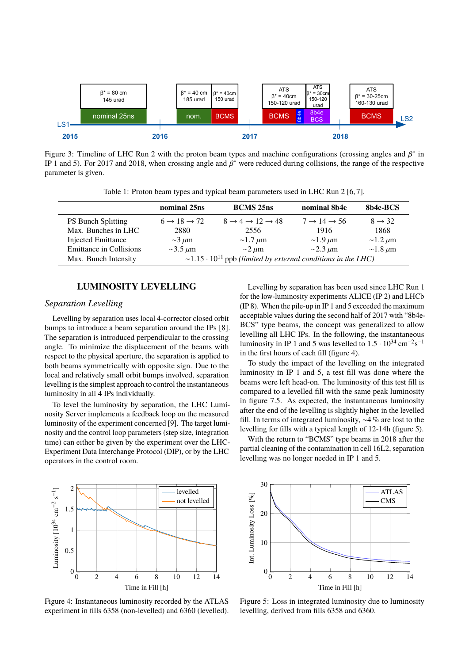

Figure 3: Timeline of LHC Run 2 with the proton beam types and machine configurations (crossing angles and  $\beta^*$  in<br>IP 1 and 5). For 2017 and 2018, when crossing angle and  $\beta^*$  were reduced during collisions, the range IP 1 and 5). For 2017 and 2018, when crossing angle and  $\beta^*$  were reduced during collisions, the range of the respective parameter is given parameter is given.

Table 1: Proton beam types and typical beam parameters used in LHC Run 2 [6, 7].

|                                | nominal 25ns                                                                   | <b>BCMS</b> 25 <sub>ns</sub>                    | nominal 8b4e                      | 8b4e-BCS           |
|--------------------------------|--------------------------------------------------------------------------------|-------------------------------------------------|-----------------------------------|--------------------|
| <b>PS Bunch Splitting</b>      | $6 \rightarrow 18 \rightarrow 72$                                              | $8 \rightarrow 4 \rightarrow 12 \rightarrow 48$ | $7 \rightarrow 14 \rightarrow 56$ | $8 \rightarrow 32$ |
| Max. Bunches in LHC            | 2880                                                                           | 2556                                            | 1916                              | 1868               |
| <b>Injected Emittance</b>      | $\sim$ 3 $\mu$ m                                                               | $\sim$ 1.7 $\mu$ m                              | $\sim$ 1.9 $\mu$ m                | $\sim$ 1.2 $\mu$ m |
| <b>Emittance in Collisions</b> | $\sim$ 3.5 $\mu$ m                                                             | $\sim$ 2 $\mu$ m                                | $\sim$ 2.3 $\mu$ m                | $\sim$ 1.8 $\mu$ m |
| Max. Bunch Intensity           | $\sim$ 1.15 · 10 <sup>11</sup> ppb (limited by external conditions in the LHC) |                                                 |                                   |                    |

### **LUMINOSITY LEVELLING**

### *Separation Levelling*

Levelling by separation uses local 4-corrector closed orbit bumps to introduce a beam separation around the IPs [8]. The separation is introduced perpendicular to the crossing angle. To minimize the displacement of the beams with respect to the physical aperture, the separation is applied to both beams symmetrically with opposite sign. Due to the local and relatively small orbit bumps involved, separation levelling is the simplest approach to control the instantaneous luminosity in all 4 IPs individually.

To level the luminosity by separation, the LHC Luminosity Server implements a feedback loop on the measured luminosity of the experiment concerned [9]. The target luminosity and the control loop parameters (step size, integration time) can either be given by the experiment over the LHC-Experiment Data Interchange Protocol (DIP), or by the LHC operators in the control room.

Levelling by separation has been used since LHC Run 1 for the low-luminosity experiments ALICE (IP 2) and LHCb (IP 8). When the pile-up in IP 1 and 5 exceeded the maximum acceptable values during the second half of 2017 with "8b4e-BCS" type beams, the concept was generalized to allow levelling all LHC IPs. In the following, the instantaneous luminosity in IP 1 and 5 was levelled to  $1.5 \cdot 10^{34} \text{ cm}^{-2} \text{s}^{-1}$ <br>in the first hours of each fill (figure 4) in the first hours of each fill (figure 4).

To study the impact of the levelling on the integrated luminosity in IP 1 and 5, a test fill was done where the beams were left head-on. The luminosity of this test fill is compared to a levelled fill with the same peak luminosity in figure 7.5. As expected, the instantaneous luminosity after the end of the levelling is slightly higher in the levelled fill. In terms of integrated luminosity, ∼4 % are lost to the levelling for fills with a typical length of 12-14h (figure 5).

With the return to "BCMS" type beams in 2018 after the partial cleaning of the contamination in cell 16L2, separation levelling was no longer needed in IP 1 and 5.



Figure 4: Instantaneous luminosity recorded by the ATLAS experiment in fills 6358 (non-levelled) and 6360 (levelled).



Figure 5: Loss in integrated luminosity due to luminosity levelling, derived from fills 6358 and 6360.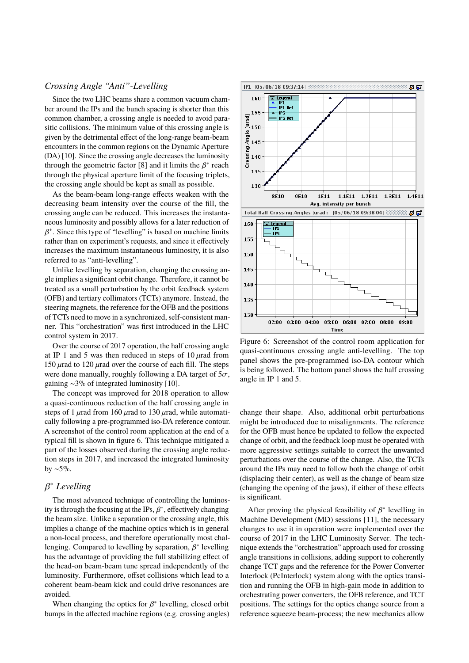### *Crossing Angle "Anti"-Levelling*

Since the two LHC beams share a common vacuum chamber around the IPs and the bunch spacing is shorter than this common chamber, a crossing angle is needed to avoid parasitic collisions. The minimum value of this crossing angle is given by the detrimental effect of the long-range beam-beam encounters in the common regions on the Dynamic Aperture (DA) [10]. Since the crossing angle decreases the luminosity through the geometric factor  $[8]$  and it limits the  $\beta^*$  reach through the physical aperture limit of the focusing triplets through the physical aperture limit of the focusing triplets, the crossing angle should be kept as small as possible.

As the beam-beam long-range effects weaken with the decreasing beam intensity over the course of the fill, the crossing angle can be reduced. This increases the instantaneous luminosity and possibly allows for a later reduction of rather than on experiment's requests, and since it effectively ∗ . Since this type of "levelling" is based on machine limits increases the maximum instantaneous luminosity, it is also referred to as "anti-levelling".

Unlike levelling by separation, changing the crossing angle implies a significant orbit change. Therefore, it cannot be treated as a small perturbation by the orbit feedback system (OFB) and tertiary collimators (TCTs) anymore. Instead, the steering magnets, the reference for the OFB and the positions of TCTs need to move in a synchronized, self-consistent manner. This "orchestration" was first introduced in the LHC control system in 2017.

Over the course of 2017 operation, the half crossing angle at IP 1 and 5 was then reduced in steps of  $10 \mu$ rad from 150  $\mu$ rad to 120  $\mu$ rad over the course of each fill. The steps were done manually, roughly following a DA target of  $5\sigma$ , gaining ∼3% of integrated luminosity [10].

The concept was improved for 2018 operation to allow a quasi-continuous reduction of the half crossing angle in steps of 1  $\mu$ rad from 160  $\mu$ rad to 130  $\mu$ rad, while automatically following a pre-programmed iso-DA reference contour. A screenshot of the control room application at the end of a typical fill is shown in figure 6. This technique mitigated a part of the losses observed during the crossing angle reduction steps in 2017, and increased the integrated luminosity by ∼5%.

# <sup>∗</sup> *Levelling*

β The most advanced technique of controlling the luminosity is through the focusing at the IPs,  $\beta^*$ , effectively changing<br>the beam size. Unlike a separation or the crossing angle, this the beam size. Unlike a separation or the crossing angle, this implies a change of the machine optics which is in general a non-local process, and therefore operationally most challenging. Compared to levelling by separation,  $\beta^*$  levelling<br>has the advantage of providing the full stabilizing effect of has the advantage of providing the full stabilizing effect of the head-on beam-beam tune spread independently of the luminosity. Furthermore, offset collisions which lead to a coherent beam-beam kick and could drive resonances are avoided.

When changing the optics for  $\beta^*$  levelling, closed orbit mns in the affected machine regions (e.g. crossing angles) bumps in the affected machine regions (e.g. crossing angles)



Figure 6: Screenshot of the control room application for quasi-continuous crossing angle anti-levelling. The top panel shows the pre-programmed iso-DA contour which is being followed. The bottom panel shows the half crossing angle in IP 1 and 5.

change their shape. Also, additional orbit perturbations might be introduced due to misalignments. The reference for the OFB must hence be updated to follow the expected change of orbit, and the feedback loop must be operated with more aggressive settings suitable to correct the unwanted perturbations over the course of the change. Also, the TCTs around the IPs may need to follow both the change of orbit (displacing their center), as well as the change of beam size (changing the opening of the jaws), if either of these effects is significant.

After proving the physical feasibility of  $\beta^*$  levelling in achine Development (MD) sessions [11] the necessary Machine Development (MD) sessions [11], the necessary changes to use it in operation were implemented over the course of 2017 in the LHC Luminosity Server. The technique extends the "orchestration" approach used for crossing angle transitions in collisions, adding support to coherently change TCT gaps and the reference for the Power Converter Interlock (PcInterlock) system along with the optics transition and running the OFB in high-gain mode in addition to orchestrating power converters, the OFB reference, and TCT positions. The settings for the optics change source from a reference squeeze beam-process; the new mechanics allow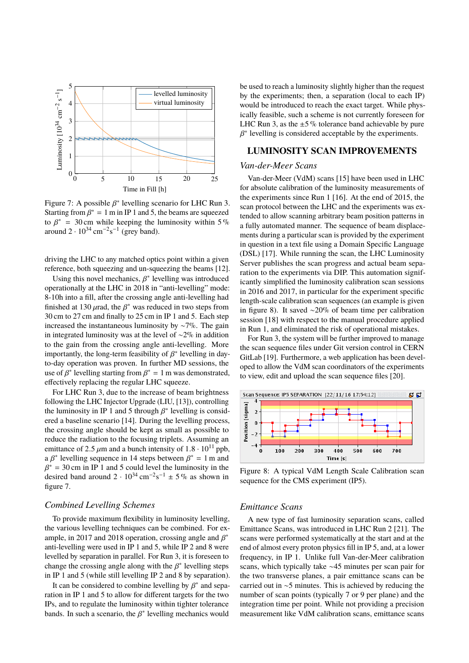

Figure 7: A possible  $\beta^*$  levelling scenario for LHC Run 3.<br>Starting from  $\beta^* = 1$  m in IP 1 and 5, the beams are squeezed. Starting from  $\beta^* = 1$  m in IP 1 and 5, the beams are squeezed<br>to  $\beta^* = 30$  cm while keeping the luminosity within 5 % to  $\beta^* = 30$  cm while keeping the luminosity within 5%<br>around 2,  $10^{34}$  cm<sup>-2</sup>s<sup>-1</sup> (grey band) around  $2 \cdot 10^{34}$  cm<sup>-2</sup>s<sup>-1</sup> (grey band).

driving the LHC to any matched optics point within a given reference, both squeezing and un-squeezing the beams [12].

Using this novel mechanics,  $\beta^*$  levelling was introduced erationally at the LHC in 2018 in "anti-levelling" mode operationally at the LHC in 2018 in "anti-levelling" mode: 8-10h into a fill, after the crossing angle anti-levelling had finished at 130  $\mu$ rad, the  $\beta^*$  was reduced in two steps from<br>30 cm to 27 cm and finally to 25 cm in IP 1 and 5. Each step 30 cm to 27 cm and finally to 25 cm in IP 1 and 5. Each step increased the instantaneous luminosity by ∼7%. The gain in integrated luminosity was at the level of ∼2% in addition to the gain from the crossing angle anti-levelling. More importantly, the long-term feasibility of  $\beta^*$  levelling in day-<br>to-day operation was proven. In further MD sessions, the to-day operation was proven. In further MD sessions, the use of  $\beta^*$  levelling starting from  $\beta^* = 1$  m was demonstrated,<br>effectively replacing the regular LHC squeeze effectively replacing the regular LHC squeeze.

For LHC Run 3, due to the increase of beam brightness following the LHC Injector Upgrade (LIU, [13]), controlling the luminosity in IP 1 and 5 through  $\beta^*$  levelling is considered a baseline scenario [14]. During the levelling process ered a baseline scenario [14]. During the levelling process, the crossing angle should be kept as small as possible to reduce the radiation to the focusing triplets. Assuming an emittance of 2.5  $\mu$ m and a bunch intensity of 1.8 · 10<sup>11</sup> ppb, a  $\beta^*$  levelling sequence in 14 steps between  $\beta^* = 1$  m and  $\beta^* = 30$  cm in IP 1 and 5 could level the luminosity in the desired band around  $2 \cdot 10^{34} \text{ cm}^{-2} \text{s}^{-1} \pm 5 \%$  as shown in  $\beta^* = 30$  cm in IP 1 and 5 could level the luminosity in the figure 7.

### *Combined Levelling Schemes*

To provide maximum flexibility in luminosity levelling, the various levelling techniques can be combined. For example, in 2017 and 2018 operation, crossing angle and  $\beta^*$ <br>anti-levelling were used in IP 1 and 5, while IP 2 and 8 were anti-levelling were used in IP 1 and 5, while IP 2 and 8 were levelled by separation in parallel. For Run 3, it is foreseen to change the crossing angle along with the  $\beta^*$  levelling steps<br>in IP 1 and 5 (while still levelling IP 2 and 8 by separation) in IP 1 and 5 (while still levelling IP 2 and 8 by separation).

It can be considered to combine levelling by  $\beta^*$  and sepa-<br>ion in IP 1 and 5 to allow for different targets for the two ration in IP 1 and 5 to allow for different targets for the two IPs, and to regulate the luminosity within tighter tolerance bands. In such a scenario, the  $\beta^*$  levelling mechanics would

be used to reach a luminosity slightly higher than the request by the experiments; then, a separation (local to each IP) would be introduced to reach the exact target. While physically feasible, such a scheme is not currently foreseen for LHC Run 3, as the  $\pm 5\%$  tolerance band achievable by pure Γ ∗ levelling is considered acceptable by the experiments.

### **LUMINOSITY SCAN IMPROVEMENTS**

#### *Van-der-Meer Scans*

Van-der-Meer (VdM) scans [15] have been used in LHC for absolute calibration of the luminosity measurements of the experiments since Run 1 [16]. At the end of 2015, the scan protocol between the LHC and the experiments was extended to allow scanning arbitrary beam position patterns in a fully automated manner. The sequence of beam displacements during a particular scan is provided by the experiment in question in a text file using a Domain Specific Language (DSL) [17]. While running the scan, the LHC Luminosity Server publishes the scan progress and actual beam separation to the experiments via DIP. This automation significantly simplified the luminosity calibration scan sessions in 2016 and 2017, in particular for the experiment specific length-scale calibration scan sequences (an example is given in figure 8). It saved ∼20% of beam time per calibration session [18] with respect to the manual procedure applied in Run 1, and eliminated the risk of operational mistakes.

For Run 3, the system will be further improved to manage the scan sequence files under Git version control in CERN GitLab [19]. Furthermore, a web application has been developed to allow the VdM scan coordinators of the experiments to view, edit and upload the scan sequence files [20].



Figure 8: A typical VdM Length Scale Calibration scan sequence for the CMS experiment (IP5).

#### *Emittance Scans*

A new type of fast luminosity separation scans, called Emittance Scans, was introduced in LHC Run 2 [21]. The scans were performed systematically at the start and at the end of almost every proton physics fill in IP 5, and, at a lower frequency, in IP 1. Unlike full Van-der-Meer calibration scans, which typically take ∼45 minutes per scan pair for the two transverse planes, a pair emittance scans can be carried out in ∼5 minutes. This is achieved by reducing the number of scan points (typically 7 or 9 per plane) and the integration time per point. While not providing a precision measurement like VdM calibration scans, emittance scans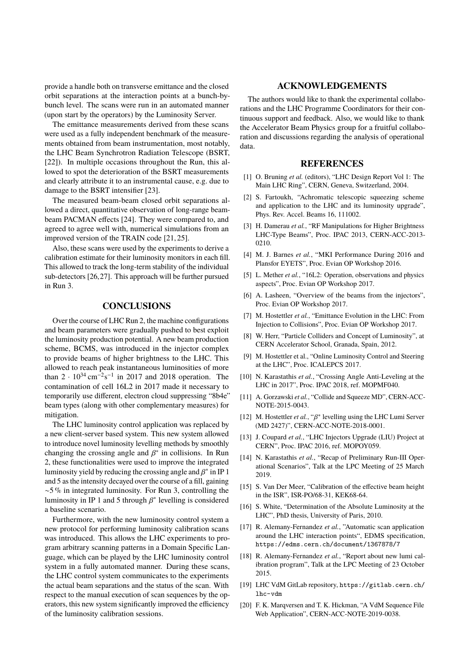provide a handle both on transverse emittance and the closed orbit separations at the interaction points at a bunch-bybunch level. The scans were run in an automated manner (upon start by the operators) by the Luminosity Server.

The emittance measurements derived from these scans were used as a fully independent benchmark of the measurements obtained from beam instrumentation, most notably, the LHC Beam Synchrotron Radiation Telescope (BSRT, [22]). In multiple occasions throughout the Run, this allowed to spot the deterioration of the BSRT measurements and clearly attribute it to an instrumental cause, e.g. due to damage to the BSRT intensifier [23].

The measured beam-beam closed orbit separations allowed a direct, quantitative observation of long-range beambeam PACMAN effects [24]. They were compared to, and agreed to agree well with, numerical simulations from an improved version of the TRAIN code [21, 25].

Also, these scans were used by the experiments to derive a calibration estimate for their luminosity monitors in each fill. This allowed to track the long-term stability of the individual sub-detectors [26,27]. This approach will be further pursued in Run 3.

### **CONCLUSIONS**

Over the course of LHC Run 2, the machine configurations and beam parameters were gradually pushed to best exploit the luminosity production potential. A new beam production scheme, BCMS, was introduced in the injector complex to provide beams of higher brightness to the LHC. This allowed to reach peak instantaneous luminosities of more than  $2 \cdot 10^{34} \text{ cm}^{-2} \text{s}^{-1}$  in 2017 and 2018 operation. The contamination of cell 16L2 in 2017 made it necessary to temporarily use different, electron cloud suppressing "8b4e" beam types (along with other complementary measures) for mitigation.

The LHC luminosity control application was replaced by a new client-server based system. This new system allowed to introduce novel luminosity levelling methods by smoothly changing the crossing angle and  $\beta^*$  in collisions. In Run<br>2 these functionalities were used to improve the integrated 2, these functionalities were used to improve the integrated luminosity yield by reducing the crossing angle and  $\beta^*$  in IP 1<br>and 5 as the intensity decayed over the course of a fill gaining and 5 as the intensity decayed over the course of a fill, gaining ∼5 % in integrated luminosity. For Run 3, controlling the luminosity in IP 1 and 5 through  $\beta^*$  levelling is considered<br>a baseline scenario a baseline scenario.

Furthermore, with the new luminosity control system a new protocol for performing luminosity calibration scans was introduced. This allows the LHC experiments to program arbitrary scanning patterns in a Domain Specific Language, which can be played by the LHC luminosity control system in a fully automated manner. During these scans, the LHC control system communicates to the experiments the actual beam separations and the status of the scan. With respect to the manual execution of scan sequences by the operators, this new system significantly improved the efficiency of the luminosity calibration sessions.

#### **ACKNOWLEDGEMENTS**

The authors would like to thank the experimental collaborations and the LHC Programme Coordinators for their continuous support and feedback. Also, we would like to thank the Accelerator Beam Physics group for a fruitful collaboration and discussions regarding the analysis of operational data.

#### **REFERENCES**

- [1] O. Bruning *et al.* (editors), "LHC Design Report Vol 1: The Main LHC Ring", CERN, Geneva, Switzerland, 2004.
- [2] S. Fartoukh, "Achromatic telescopic squeezing scheme and application to the LHC and its luminosity upgrade", Phys. Rev. Accel. Beams 16, 111002.
- [3] H. Damerau *et al.*, "RF Manipulations for Higher Brightness LHC-Type Beams", Proc. IPAC 2013, CERN-ACC-2013- 0210.
- [4] M. J. Barnes *et al.*, "MKI Performance During 2016 and Plansfor EYETS", Proc. Evian OP Workshop 2016.
- [5] L. Mether *et al.*, "16L2: Operation, observations and physics aspects", Proc. Evian OP Workshop 2017.
- [6] A. Lasheen, "Overview of the beams from the injectors", Proc. Evian OP Workshop 2017.
- [7] M. Hostettler *et al.*, "Emittance Evolution in the LHC: From Injection to Collisions", Proc. Evian OP Workshop 2017.
- [8] W. Herr, "Particle Colliders and Concept of Luminosity", at CERN Accelerator School, Granada, Spain, 2012.
- [9] M. Hostettler et al., "Online Luminosity Control and Steering at the LHC", Proc. ICALEPCS 2017.
- [10] N. Karastathis *et al.*, "Crossing Angle Anti-Leveling at the LHC in 2017", Proc. IPAC 2018, ref. MOPMF040.
- [11] A. Gorzawski et al., "Collide and Squeeze MD", CERN-ACC-NOTE-2015-0043.
- [12] M. Hostettler *et al.*, " $\beta^*$  levelling using the LHC Lumi Server (MD 2427)" CERN-ACC-NOTE-2018-0001 (MD 2427)", CERN-ACC-NOTE-2018-0001.
- [13] J. Coupard *et al.*, "LHC Injectors Upgrade (LIU) Project at CERN", Proc. IPAC 2016, ref. MOPOY059.
- [14] N. Karastathis *et al.*, "Recap of Preliminary Run-III Operational Scenarios", Talk at the LPC Meeting of 25 March 2019.
- [15] S. Van Der Meer, "Calibration of the effective beam height in the ISR", ISR-PO/68-31, KEK68-64.
- [16] S. White, "Determination of the Absolute Luminosity at the LHC", PhD thesis, University of Paris, 2010.
- [17] R. Alemany-Fernandez et al., "Automatic scan application around the LHC interaction points", EDMS specification, https://edms.cern.ch/document/1367878/7
- [18] R. Alemany-Fernandez et al., "Report about new lumi calibration program", Talk at the LPC Meeting of 23 October 2015.
- [19] LHC VdM GitLab repository, https://gitlab.cern.ch/ lhc-vdm
- [20] F. K. Marqversen and T. K. Hickman, "A VdM Sequence File Web Application", CERN-ACC-NOTE-2019-0038.